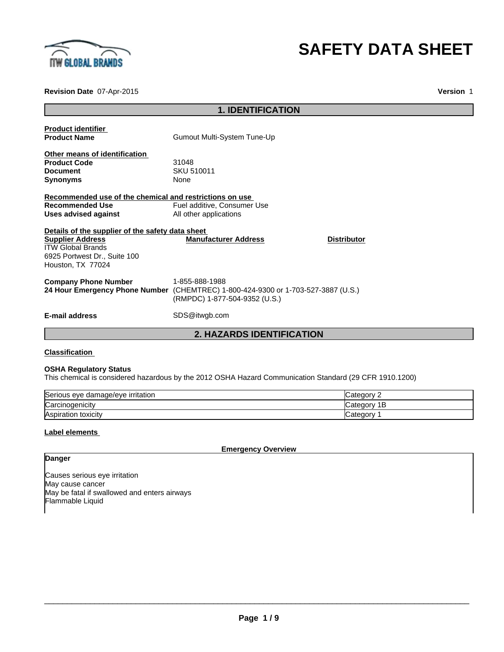

# **SAFETY DATA SHEET**

**Revision Date** 07-Apr-2015

**Version** 1

|                                                                                                                                                              | <b>1. IDENTIFICATION</b>                                                                                                             |
|--------------------------------------------------------------------------------------------------------------------------------------------------------------|--------------------------------------------------------------------------------------------------------------------------------------|
| <b>Product identifier</b><br><b>Product Name</b>                                                                                                             | Gumout Multi-System Tune-Up                                                                                                          |
| Other means of identification<br><b>Product Code</b><br><b>Document</b><br><b>Synonyms</b>                                                                   | 31048<br>SKU 510011<br>None                                                                                                          |
| Recommended use of the chemical and restrictions on use<br>Recommended Use<br>Uses advised against                                                           | Fuel additive, Consumer Use<br>All other applications                                                                                |
| Details of the supplier of the safety data sheet<br><b>Supplier Address</b><br><b>ITW Global Brands</b><br>6925 Portwest Dr., Suite 100<br>Houston, TX 77024 | <b>Manufacturer Address</b><br><b>Distributor</b>                                                                                    |
| <b>Company Phone Number</b>                                                                                                                                  | 1-855-888-1988<br>24 Hour Emergency Phone Number (CHEMTREC) 1-800-424-9300 or 1-703-527-3887 (U.S.)<br>(RMPDC) 1-877-504-9352 (U.S.) |
| <b>E-mail address</b>                                                                                                                                        | SDS@itwgb.com                                                                                                                        |
|                                                                                                                                                              | <b>2. HAZARDS IDENTIFICATION</b>                                                                                                     |

#### **Classification**

#### **OSHA Regulatory Status**

This chemical is considered hazardous by the 2012 OSHA Hazard Communication Standard (29 CFR 1910.1200)

| Serious eve<br>damage/eve irritation? | ≀aor<br>، וה     |
|---------------------------------------|------------------|
| Carcinogenicity                       | nory<br>n÷,<br>E |
| <b>Aspiration</b><br>toxicitv         | ategorٽ          |

#### **Label elements**

**Danger**

**Emergency Overview**

Causes serious eye irritation May cause cancer May be fatal if swallowed and enters airways Flammable Liquid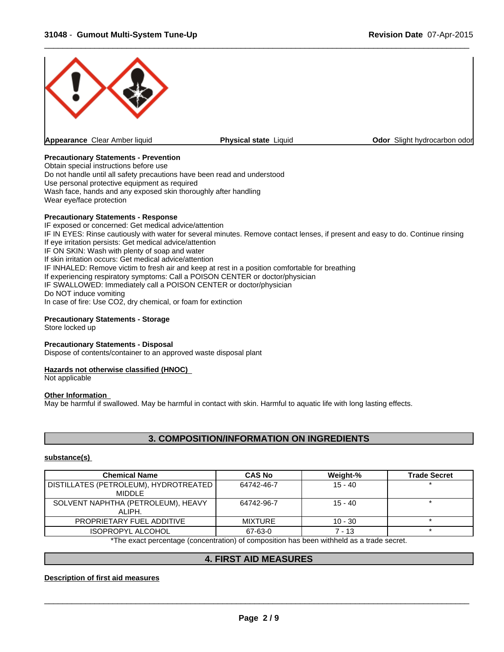

#### **Precautionary Statements - Prevention**

Obtain special instructions before use Do not handle until all safety precautions have been read and understood Use personal protective equipment as required Wash face, hands and any exposed skin thoroughly after handling Wear eye/face protection

#### **Precautionary Statements - Response**

IF exposed or concerned: Get medical advice/attention IF IN EYES: Rinse cautiously with water for several minutes. Remove contact lenses, if present and easy to do. Continue rinsing If eye irritation persists: Get medical advice/attention IF ON SKIN: Wash with plenty of soap and water If skin irritation occurs: Get medical advice/attention IF INHALED: Remove victim to fresh air and keep at rest in a position comfortable for breathing If experiencing respiratory symptoms: Call a POISON CENTER or doctor/physician IF SWALLOWED: Immediately call a POISON CENTER or doctor/physician Do NOT induce vomiting In case of fire: Use CO2, dry chemical, or foam for extinction

#### **Precautionary Statements - Storage**

Store locked up

#### **Precautionary Statements - Disposal**

Dispose of contents/container to an approved waste disposal plant

#### **Hazards not otherwise classified (HNOC)**

Not applicable

#### **Other Information**

May be harmful if swallowed. May be harmful in contact with skin. Harmful to aquatic life with long lasting effects.

# **3. COMPOSITION/INFORMATION ON INGREDIENTS**

#### **substance(s)**

| <b>Chemical Name</b>                             | <b>CAS No</b>  | Weight-%  | <b>Trade Secret</b> |
|--------------------------------------------------|----------------|-----------|---------------------|
| DISTILLATES (PETROLEUM), HYDROTREATED<br>MIDDLE. | 64742-46-7     | $15 - 40$ |                     |
| SOLVENT NAPHTHA (PETROLEUM), HEAVY<br>ALIPH.     | 64742-96-7     | $15 - 40$ |                     |
| PROPRIETARY FUEL ADDITIVE                        | <b>MIXTURE</b> | $10 - 30$ |                     |
| <b>ISOPROPYL ALCOHOL</b>                         | 67-63-0        | 7 - 13    |                     |

\*The exact percentage (concentration) of composition has been withheld as a trade secret.

# **4. FIRST AID MEASURES**

#### **Description of first aid measures**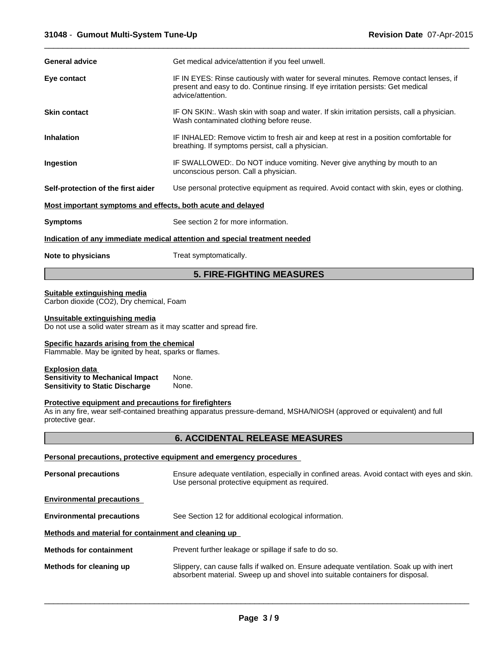| <b>General advice</b>                                       | Get medical advice/attention if you feel unwell.                                                                                                                                                 |
|-------------------------------------------------------------|--------------------------------------------------------------------------------------------------------------------------------------------------------------------------------------------------|
| Eye contact                                                 | IF IN EYES: Rinse cautiously with water for several minutes. Remove contact lenses, if<br>present and easy to do. Continue rinsing. If eye irritation persists: Get medical<br>advice/attention. |
| <b>Skin contact</b>                                         | IF ON SKIN:. Wash skin with soap and water. If skin irritation persists, call a physician.<br>Wash contaminated clothing before reuse.                                                           |
| <b>Inhalation</b>                                           | IF INHALED: Remove victim to fresh air and keep at rest in a position comfortable for<br>breathing. If symptoms persist, call a physician.                                                       |
| Ingestion                                                   | IF SWALLOWED:. Do NOT induce vomiting. Never give anything by mouth to an<br>unconscious person. Call a physician.                                                                               |
| Self-protection of the first aider                          | Use personal protective equipment as required. Avoid contact with skin, eyes or clothing.                                                                                                        |
| Most important symptoms and effects, both acute and delayed |                                                                                                                                                                                                  |
| <b>Symptoms</b>                                             | See section 2 for more information.                                                                                                                                                              |
|                                                             | Indication of any immediate medical attention and special treatment needed                                                                                                                       |
| Note to physicians                                          | Treat symptomatically.                                                                                                                                                                           |
|                                                             | <b>5. FIRE-FIGHTING MEASURES</b>                                                                                                                                                                 |
| Suitable extinguishing media                                |                                                                                                                                                                                                  |

Carbon dioxide (CO2), Dry chemical, Foam

#### **Unsuitable extinguishing media**

Do not use a solid water stream as it may scatter and spread fire.

#### **Specific hazards arising from the chemical**

Flammable. May be ignited by heat, sparks or flames.

| <b>Explosion data</b>                   |       |  |
|-----------------------------------------|-------|--|
| <b>Sensitivity to Mechanical Impact</b> | None. |  |
| <b>Sensitivity to Static Discharge</b>  | None. |  |

#### **Protective equipment and precautions for firefighters**

As in any fire, wear self-contained breathing apparatus pressure-demand, MSHA/NIOSH (approved or equivalent) and full protective gear.

# **6. ACCIDENTAL RELEASE MEASURES**

#### **Personal precautions, protective equipment and emergency procedures**

| <b>Personal precautions</b>                          | Ensure adequate ventilation, especially in confined areas. Avoid contact with eyes and skin.<br>Use personal protective equipment as required.                            |
|------------------------------------------------------|---------------------------------------------------------------------------------------------------------------------------------------------------------------------------|
| <b>Environmental precautions</b>                     |                                                                                                                                                                           |
| <b>Environmental precautions</b>                     | See Section 12 for additional ecological information.                                                                                                                     |
| Methods and material for containment and cleaning up |                                                                                                                                                                           |
| <b>Methods for containment</b>                       | Prevent further leakage or spillage if safe to do so.                                                                                                                     |
| Methods for cleaning up                              | Slippery, can cause falls if walked on. Ensure adequate ventilation. Soak up with inert<br>absorbent material. Sweep up and shovel into suitable containers for disposal. |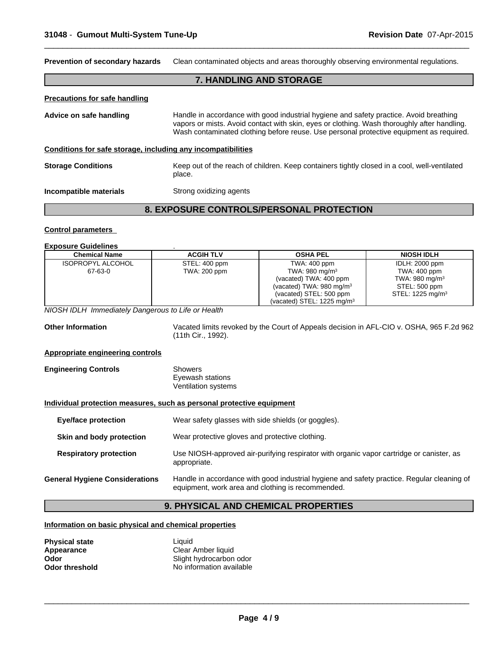**Prevention of secondary hazards** Clean contaminated objects and areas thoroughly observing environmental regulations.

### **7. HANDLING AND STORAGE**

 $\overline{\phantom{a}}$  ,  $\overline{\phantom{a}}$  ,  $\overline{\phantom{a}}$  ,  $\overline{\phantom{a}}$  ,  $\overline{\phantom{a}}$  ,  $\overline{\phantom{a}}$  ,  $\overline{\phantom{a}}$  ,  $\overline{\phantom{a}}$  ,  $\overline{\phantom{a}}$  ,  $\overline{\phantom{a}}$  ,  $\overline{\phantom{a}}$  ,  $\overline{\phantom{a}}$  ,  $\overline{\phantom{a}}$  ,  $\overline{\phantom{a}}$  ,  $\overline{\phantom{a}}$  ,  $\overline{\phantom{a}}$ 

#### **Precautions for safe handling**

Advice on safe handling **Handle in accordance with good industrial hygiene and safety practice. Avoid breathing** vapors or mists. Avoid contact with skin, eyes or clothing. Wash thoroughly after handling. Wash contaminated clothing before reuse. Use personal protective equipment as required.

### **Conditions for safe storage, including any incompatibilities**

**Storage Conditions** Keep out of the reach of children. Keep containers tightly closed in a cool, well-ventilated place.

**Incompatible materials** Strong oxidizing agents

# **8. EXPOSURE CONTROLS/PERSONAL PROTECTION**

#### **Control parameters**

#### **Exposure Guidelines** .

| <b>Chemical Name</b>                                                  | <b>ACGIH TLV</b>                                   | <b>OSHA PEL</b>                                                                                                                                 | <b>NIOSH IDLH</b>                                                                                           |  |  |  |
|-----------------------------------------------------------------------|----------------------------------------------------|-------------------------------------------------------------------------------------------------------------------------------------------------|-------------------------------------------------------------------------------------------------------------|--|--|--|
| <b>ISOPROPYL ALCOHOL</b><br>67-63-0                                   | STEL: 400 ppm<br>TWA: 200 ppm                      | <b>TWA: 400 ppm</b><br>TWA: 980 mg/m <sup>3</sup><br>(vacated) TWA: 400 ppm<br>(vacated) TWA: $980 \text{ mg/m}^3$<br>(vacated) STEL: 500 ppm   | <b>IDLH: 2000 ppm</b><br>TWA: 400 ppm<br>TWA: 980 mg/m $3$<br>STEL: 500 ppm<br>STEL: 1225 mg/m <sup>3</sup> |  |  |  |
|                                                                       |                                                    | (vacated) STEL: 1225 mg/m <sup>3</sup>                                                                                                          |                                                                                                             |  |  |  |
| NIOSH IDLH Immediately Dangerous to Life or Health                    |                                                    |                                                                                                                                                 |                                                                                                             |  |  |  |
| <b>Other Information</b>                                              | (11th Cir., 1992).                                 | Vacated limits revoked by the Court of Appeals decision in AFL-CIO v. OSHA, 965 F.2d 962                                                        |                                                                                                             |  |  |  |
| <b>Appropriate engineering controls</b>                               |                                                    |                                                                                                                                                 |                                                                                                             |  |  |  |
| <b>Engineering Controls</b>                                           | Showers<br>Eyewash stations<br>Ventilation systems |                                                                                                                                                 |                                                                                                             |  |  |  |
| Individual protection measures, such as personal protective equipment |                                                    |                                                                                                                                                 |                                                                                                             |  |  |  |
| <b>Eye/face protection</b>                                            |                                                    | Wear safety glasses with side shields (or goggles).                                                                                             |                                                                                                             |  |  |  |
| Skin and body protection                                              |                                                    | Wear protective gloves and protective clothing.                                                                                                 |                                                                                                             |  |  |  |
| <b>Respiratory protection</b>                                         | appropriate.                                       | Use NIOSH-approved air-purifying respirator with organic vapor cartridge or canister, as                                                        |                                                                                                             |  |  |  |
| <b>General Hygiene Considerations</b>                                 |                                                    | Handle in accordance with good industrial hygiene and safety practice. Regular cleaning of<br>equipment, work area and clothing is recommended. |                                                                                                             |  |  |  |
|                                                                       |                                                    |                                                                                                                                                 |                                                                                                             |  |  |  |

# **9. PHYSICAL AND CHEMICAL PROPERTIES**

#### **Information on basic physical and chemical properties**

| <b>Physical state</b> | Liauid                   |
|-----------------------|--------------------------|
| Appearance            | Clear Amber liquid       |
| Odor                  | Slight hydrocarbon odor  |
| <b>Odor threshold</b> | No information available |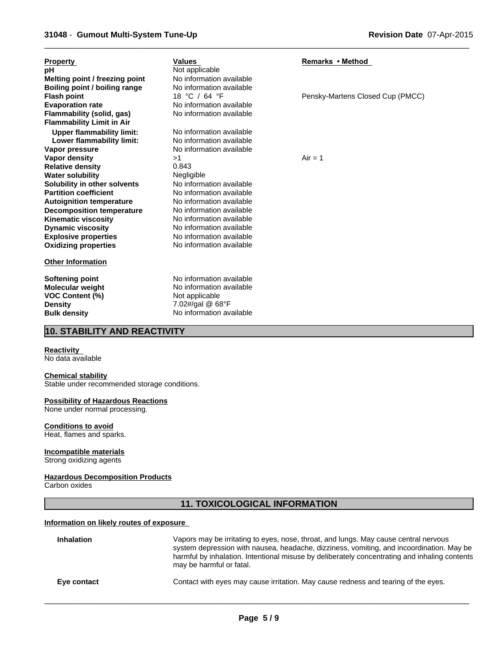| <b>Property</b>                  | <b>Values</b>            | Remarks • Method                 |
|----------------------------------|--------------------------|----------------------------------|
| рH                               | Not applicable           |                                  |
| Melting point / freezing point   | No information available |                                  |
| Boiling point / boiling range    | No information available |                                  |
| <b>Flash point</b>               | 18 °C / 64 °F            | Pensky-Martens Closed Cup (PMCC) |
| <b>Evaporation rate</b>          | No information available |                                  |
| Flammability (solid, gas)        | No information available |                                  |
| <b>Flammability Limit in Air</b> |                          |                                  |
| <b>Upper flammability limit:</b> | No information available |                                  |
| Lower flammability limit:        | No information available |                                  |
| Vapor pressure                   | No information available |                                  |
| Vapor density                    | >1                       | $Air = 1$                        |
| <b>Relative density</b>          | 0.843                    |                                  |
| <b>Water solubility</b>          | Negligible               |                                  |
| Solubility in other solvents     | No information available |                                  |
| <b>Partition coefficient</b>     | No information available |                                  |
| <b>Autoignition temperature</b>  | No information available |                                  |
| <b>Decomposition temperature</b> | No information available |                                  |
| <b>Kinematic viscosity</b>       | No information available |                                  |
| <b>Dynamic viscosity</b>         | No information available |                                  |
| <b>Explosive properties</b>      | No information available |                                  |
| <b>Oxidizing properties</b>      | No information available |                                  |
| <b>Other Information</b>         |                          |                                  |
| <b>Softening point</b>           | No information available |                                  |
| <b>Molecular weight</b>          | No information available |                                  |
| <b>VOC Content (%)</b>           | Not applicable           |                                  |
|                                  |                          |                                  |

# **10. STABILITY AND REACTIVITY**

**Density** 7.02#/gal @ 68°F **Bulk density** No information available

#### **Reactivity**

No data available

#### **Chemical stability**

Stable under recommended storage conditions.

#### **Possibility of Hazardous Reactions**

None under normal processing.

#### **Conditions to avoid**

Heat, flames and sparks.

#### **Incompatible materials**

Strong oxidizing agents

#### **Hazardous Decomposition Products**

Carbon oxides

# **11. TOXICOLOGICAL INFORMATION**

#### **Information on likely routes of exposure**

| <b>Inhalation</b> | Vapors may be irritating to eyes, nose, throat, and lungs. May cause central nervous<br>system depression with nausea, headache, dizziness, vomiting, and incoordination. May be<br>harmful by inhalation. Intentional misuse by deliberately concentrating and inhaling contents<br>may be harmful or fatal. |
|-------------------|---------------------------------------------------------------------------------------------------------------------------------------------------------------------------------------------------------------------------------------------------------------------------------------------------------------|
| Eye contact       | Contact with eyes may cause irritation. May cause redness and tearing of the eyes.                                                                                                                                                                                                                            |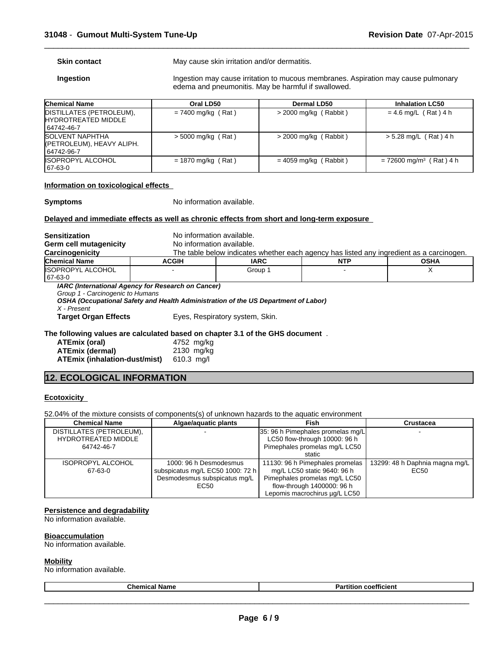**Skin contact** May cause skin irritation and/or dermatitis.

**Ingestion Ingestion may cause irritation to mucous membranes. Aspiration may cause pulmonary** edema and pneumonitis. May be harmful if swallowed.

 $\overline{\phantom{a}}$  ,  $\overline{\phantom{a}}$  ,  $\overline{\phantom{a}}$  ,  $\overline{\phantom{a}}$  ,  $\overline{\phantom{a}}$  ,  $\overline{\phantom{a}}$  ,  $\overline{\phantom{a}}$  ,  $\overline{\phantom{a}}$  ,  $\overline{\phantom{a}}$  ,  $\overline{\phantom{a}}$  ,  $\overline{\phantom{a}}$  ,  $\overline{\phantom{a}}$  ,  $\overline{\phantom{a}}$  ,  $\overline{\phantom{a}}$  ,  $\overline{\phantom{a}}$  ,  $\overline{\phantom{a}}$ 

| <b>Chemical Name</b>                                                 | Oral LD50            | Dermal LD50             | <b>Inhalation LC50</b>                |
|----------------------------------------------------------------------|----------------------|-------------------------|---------------------------------------|
| DISTILLATES (PETROLEUM),<br><b>HYDROTREATED MIDDLE</b><br>64742-46-7 | $= 7400$ mg/kg (Rat) | $>$ 2000 mg/kg (Rabbit) | $= 4.6$ mg/L (Rat) 4 h                |
| <b>SOLVENT NAPHTHA</b><br>(PETROLEUM), HEAVY ALIPH.<br>64742-96-7    | $>$ 5000 mg/kg (Rat) | $>$ 2000 mg/kg (Rabbit) | $> 5.28$ mg/L (Rat) 4 h               |
| <b>ISOPROPYL ALCOHOL</b><br>167-63-0                                 | $= 1870$ mg/kg (Rat) | $= 4059$ mg/kg (Rabbit) | $= 72600$ mg/m <sup>3</sup> (Rat) 4 h |

#### **Information on toxicological effects**

**Symptoms** No information available.

#### **Delayed and immediate effects as well as chronic effects from short and long-term exposure**

| <b>Sensitization</b>                                                                                  | No information available. |                                                                                          |            |             |  |  |
|-------------------------------------------------------------------------------------------------------|---------------------------|------------------------------------------------------------------------------------------|------------|-------------|--|--|
| Germ cell mutagenicity                                                                                | No information available. |                                                                                          |            |             |  |  |
| Carcinogenicity                                                                                       |                           | The table below indicates whether each agency has listed any ingredient as a carcinogen. |            |             |  |  |
| <b>Chemical Name</b>                                                                                  | <b>ACGIH</b>              | <b>IARC</b>                                                                              | <b>NTP</b> | <b>OSHA</b> |  |  |
| <b>IISOPROPYL ALCOHOL</b><br>67-63-0                                                                  |                           | Group 1                                                                                  |            | х           |  |  |
| IARC (International Agency for Research on Cancer)<br>Group 1 - Carcinogenic to Humans<br>X - Present |                           | OSHA (Occupational Safety and Health Administration of the US Department of Labor)       |            |             |  |  |
| <b>Target Organ Effects</b>                                                                           |                           | Eyes, Respiratory system, Skin.                                                          |            |             |  |  |
| The following values are calculated based on chapter 3.1 of the GHS document.                         |                           |                                                                                          |            |             |  |  |
| ATEmix (oral)                                                                                         | 4752 mg/kg                |                                                                                          |            |             |  |  |
| <b>ATEmix (dermal)</b>                                                                                | 2130 mg/kg                |                                                                                          |            |             |  |  |

| ATEmix (oral)                        | 4752 mg/kg  |
|--------------------------------------|-------------|
| ATEmix (dermal)                      | 2130 mg/kg  |
| <b>ATEmix (inhalation-dust/mist)</b> | $610.3$ mg/ |

# **12. ECOLOGICAL INFORMATION**

#### **Ecotoxicity**

52.04% of the mixture consists of components(s) of unknown hazards to the aquatic environment

| <b>Chemical Name</b>     | Algae/aquatic plants             | Fish                              | Crustacea                      |
|--------------------------|----------------------------------|-----------------------------------|--------------------------------|
| DISTILLATES (PETROLEUM), | -                                | 35: 96 h Pimephales promelas mg/L |                                |
| HYDROTREATED MIDDLE      |                                  | LC50 flow-through 10000: 96 h     |                                |
| 64742-46-7               |                                  | Pimephales promelas mg/L LC50     |                                |
|                          |                                  | static                            |                                |
| <b>ISOPROPYL ALCOHOL</b> | 1000: 96 h Desmodesmus           | 11130: 96 h Pimephales promelas   | 13299: 48 h Daphnia magna mg/L |
| 67-63-0                  | subspicatus mg/L EC50 1000: 72 h | mg/L LC50 static 9640: 96 h       | EC50                           |
|                          | Desmodesmus subspicatus mg/L     | Pimephales promelas mg/L LC50     |                                |
|                          | EC50                             | flow-through 1400000: 96 h        |                                |
|                          |                                  | Lepomis macrochirus ug/L LC50     |                                |

#### **Persistence and degradability**

No information available.

#### **Bioaccumulation**

No information available.

#### **Mobility**

No information available.

| <b>Partition coefficient</b><br><b>Chemical Name</b> |
|------------------------------------------------------|
|------------------------------------------------------|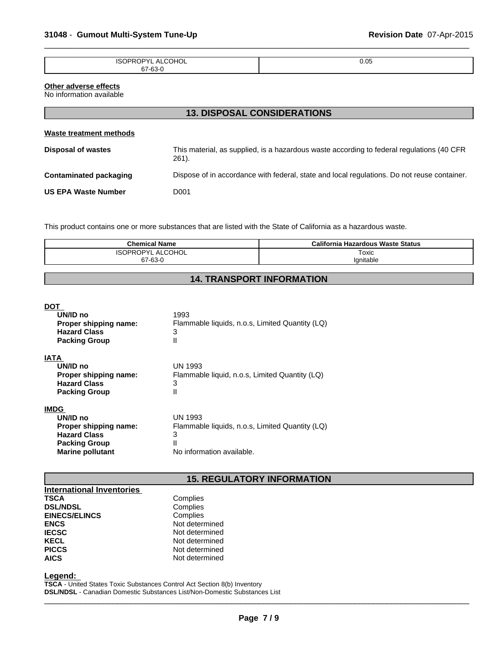| <b>ISO</b><br>11<br>۱н<br>⊣∪∟<br>$\cdots$<br>$\overline{\phantom{0}}$ | 0.05<br>- - - |
|-----------------------------------------------------------------------|---------------|
| 67-63-0<br>--<br>u                                                    |               |
|                                                                       |               |

# **Other adverse effects**

No information available

| <b>13. DISPOSAL CONSIDERATIONS</b>                                                                 |  |  |
|----------------------------------------------------------------------------------------------------|--|--|
|                                                                                                    |  |  |
| This material, as supplied, is a hazardous waste according to federal regulations (40 CFR<br>261). |  |  |
| Dispose of in accordance with federal, state and local regulations. Do not reuse container.        |  |  |
| D001                                                                                               |  |  |
|                                                                                                    |  |  |

This product contains one or more substances that are listed with the State of California as a hazardous waste.

| <b>Chemical Name</b>      | California Hazardous Waste Status |
|---------------------------|-----------------------------------|
| <b>COHOL</b><br>י∨פו<br>S | Toxic                             |
| 67-63-0                   | Ignitable                         |

# **14. TRANSPORT INFORMATION**

#### **DOT**

| UN/ID no<br>Proper shipping name:<br><b>Hazard Class</b><br><b>Packing Group</b>                                           | 1993<br>Flammable liquids, n.o.s, Limited Quantity (LQ)<br>3<br>Ш                                 |
|----------------------------------------------------------------------------------------------------------------------------|---------------------------------------------------------------------------------------------------|
| <b>IATA</b><br>UN/ID no<br>Proper shipping name:<br><b>Hazard Class</b><br><b>Packing Group</b>                            | UN 1993<br>Flammable liquid, n.o.s, Limited Quantity (LQ)<br>3<br>Ш                               |
| <b>IMDG</b><br>UN/ID no<br>Proper shipping name:<br><b>Hazard Class</b><br><b>Packing Group</b><br><b>Marine pollutant</b> | UN 1993<br>Flammable liquids, n.o.s, Limited Quantity (LQ)<br>3<br>Ш<br>No information available. |

# **15. REGULATORY INFORMATION**

| <b>International Inventories</b> |                |
|----------------------------------|----------------|
| <b>TSCA</b>                      | Complies       |
| <b>DSL/NDSL</b>                  | Complies       |
| <b>EINECS/ELINCS</b>             | Complies       |
| <b>ENCS</b>                      | Not determined |
| <b>IECSC</b>                     | Not determined |
| <b>KECL</b>                      | Not determined |
| <b>PICCS</b>                     | Not determined |
| <b>AICS</b>                      | Not determined |

#### **Legend:**

**TSCA** - United States Toxic Substances Control Act Section 8(b) Inventory **DSL/NDSL** - Canadian Domestic Substances List/Non-Domestic Substances List  $\overline{\phantom{a}}$  ,  $\overline{\phantom{a}}$  ,  $\overline{\phantom{a}}$  ,  $\overline{\phantom{a}}$  ,  $\overline{\phantom{a}}$  ,  $\overline{\phantom{a}}$  ,  $\overline{\phantom{a}}$  ,  $\overline{\phantom{a}}$  ,  $\overline{\phantom{a}}$  ,  $\overline{\phantom{a}}$  ,  $\overline{\phantom{a}}$  ,  $\overline{\phantom{a}}$  ,  $\overline{\phantom{a}}$  ,  $\overline{\phantom{a}}$  ,  $\overline{\phantom{a}}$  ,  $\overline{\phantom{a}}$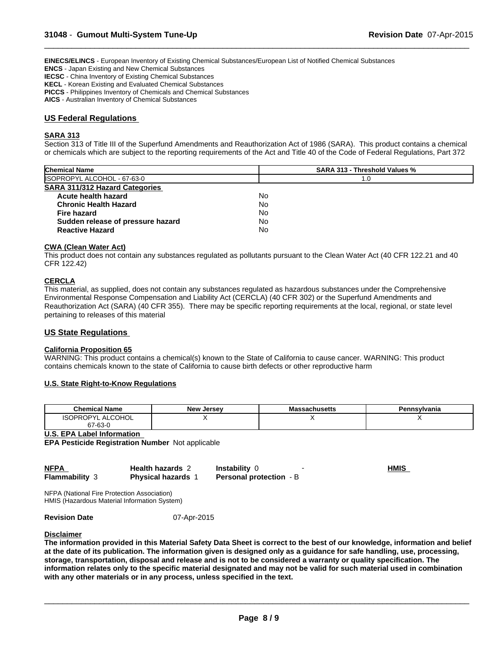**EINECS/ELINCS** - European Inventory of Existing Chemical Substances/European List of Notified Chemical Substances

**ENCS** - Japan Existing and New Chemical Substances

**IECSC** - China Inventory of Existing Chemical Substances

**KECL** - Korean Existing and Evaluated Chemical Substances

**PICCS** - Philippines Inventory of Chemicals and Chemical Substances

**AICS** - Australian Inventory of Chemical Substances

### **US Federal Regulations**

#### **SARA 313**

Section 313 of Title III of the Superfund Amendments and Reauthorization Act of 1986 (SARA). This product contains a chemical or chemicals which are subject to the reporting requirements of the Act and Title 40 of the Code of Federal Regulations, Part 372

 $\overline{\phantom{a}}$  ,  $\overline{\phantom{a}}$  ,  $\overline{\phantom{a}}$  ,  $\overline{\phantom{a}}$  ,  $\overline{\phantom{a}}$  ,  $\overline{\phantom{a}}$  ,  $\overline{\phantom{a}}$  ,  $\overline{\phantom{a}}$  ,  $\overline{\phantom{a}}$  ,  $\overline{\phantom{a}}$  ,  $\overline{\phantom{a}}$  ,  $\overline{\phantom{a}}$  ,  $\overline{\phantom{a}}$  ,  $\overline{\phantom{a}}$  ,  $\overline{\phantom{a}}$  ,  $\overline{\phantom{a}}$ 

| <b>SARA 313 - Threshold Values %</b> |  |
|--------------------------------------|--|
| 1.0                                  |  |
|                                      |  |
| No                                   |  |
| No                                   |  |
| No                                   |  |
| No                                   |  |
| No                                   |  |
|                                      |  |

#### **CWA (Clean Water Act)**

This product does not contain any substances regulated as pollutants pursuant to the Clean Water Act (40 CFR 122.21 and 40 CFR 122.42)

#### **CERCLA**

This material, as supplied, does not contain any substances regulated as hazardous substances under the Comprehensive Environmental Response Compensation and Liability Act (CERCLA) (40 CFR 302) or the Superfund Amendments and Reauthorization Act (SARA) (40 CFR 355). There may be specific reporting requirements at the local, regional, or state level pertaining to releases of this material

#### **US State Regulations**

#### **California Proposition 65**

WARNING: This product contains a chemical(s) known to the State of California to cause cancer. WARNING: This product contains chemicals known to the state of California to cause birth defects or other reproductive harm

#### **U.S. State Right-to-Know Regulations**

| <b>Chemical Name</b>                                                         | New<br>. Jersev | ssachusetts | - פ<br>'ennsylvania |
|------------------------------------------------------------------------------|-----------------|-------------|---------------------|
| ALCOHOL<br>$\cdot$ , , , , $\mathsf{P}^{\vee}$ .<br>$\overline{\phantom{0}}$ |                 |             | . .                 |
| co o<br>~-<br><b>03-1</b> - 1                                                |                 |             |                     |

**U.S. EPA Label Information** 

**EPA Pesticide Registration Number** Not applicable

| <b>NFPA</b>           | <b>Health hazards 2</b> | <b>Instability 0</b>           | <b>HMIS</b> |
|-----------------------|-------------------------|--------------------------------|-------------|
| <b>Flammability 3</b> | <b>Physical hazards</b> | <b>Personal protection</b> - B |             |

NFPA (National Fire Protection Association) HMIS (Hazardous Material Information System)

**Revision Date** 07-Apr-2015

#### **Disclaimer**

**The information provided in this Material Safety Data Sheet is correct to the best of our knowledge, information and belief at the date of its publication. The information given is designed only as a guidance for safe handling, use, processing, storage, transportation, disposal and release and is not to be considered a warranty or quality specification. The information relates only to the specific material designated and may not be valid for such material used in combination with any other materials or in any process, unless specified in the text.**